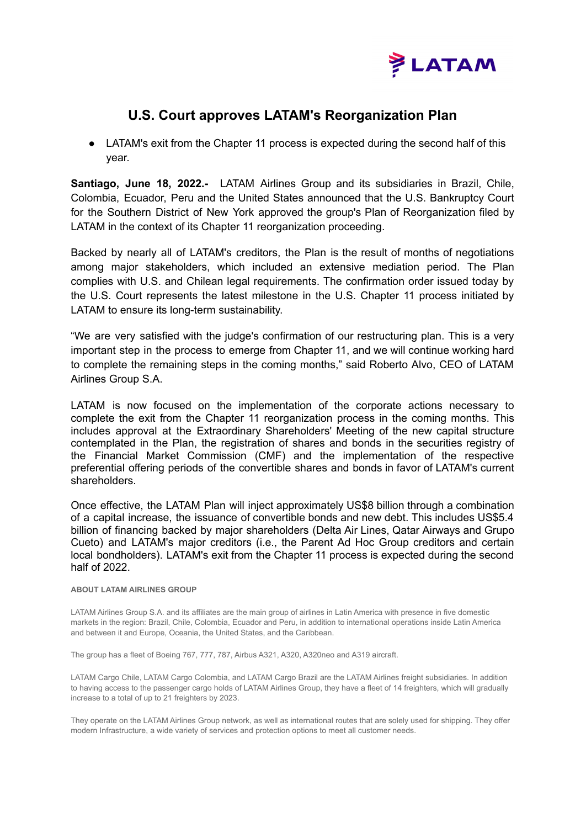

## **U.S. Court approves LATAM's Reorganization Plan**

• LATAM's exit from the Chapter 11 process is expected during the second half of this year.

**Santiago, June 18, 2022.-** LATAM Airlines Group and its subsidiaries in Brazil, Chile, Colombia, Ecuador, Peru and the United States announced that the U.S. Bankruptcy Court for the Southern District of New York approved the group's Plan of Reorganization filed by LATAM in the context of its Chapter 11 reorganization proceeding.

Backed by nearly all of LATAM's creditors, the Plan is the result of months of negotiations among major stakeholders, which included an extensive mediation period. The Plan complies with U.S. and Chilean legal requirements. The confirmation order issued today by the U.S. Court represents the latest milestone in the U.S. Chapter 11 process initiated by LATAM to ensure its long-term sustainability.

"We are very satisfied with the judge's confirmation of our restructuring plan. This is a very important step in the process to emerge from Chapter 11, and we will continue working hard to complete the remaining steps in the coming months," said Roberto Alvo, CEO of LATAM Airlines Group S.A.

LATAM is now focused on the implementation of the corporate actions necessary to complete the exit from the Chapter 11 reorganization process in the coming months. This includes approval at the Extraordinary Shareholders' Meeting of the new capital structure contemplated in the Plan, the registration of shares and bonds in the securities registry of the Financial Market Commission (CMF) and the implementation of the respective preferential offering periods of the convertible shares and bonds in favor of LATAM's current shareholders.

Once effective, the LATAM Plan will inject approximately US\$8 billion through a combination of a capital increase, the issuance of convertible bonds and new debt. This includes US\$5.4 billion of financing backed by major shareholders (Delta Air Lines, Qatar Airways and Grupo Cueto) and LATAM's major creditors (i.e., the Parent Ad Hoc Group creditors and certain local bondholders). LATAM's exit from the Chapter 11 process is expected during the second half of 2022.

## **ABOUT LATAM AIRLINES GROUP**

LATAM Airlines Group S.A. and its affiliates are the main group of airlines in Latin America with presence in five domestic markets in the region: Brazil, Chile, Colombia, Ecuador and Peru, in addition to international operations inside Latin America and between it and Europe, Oceania, the United States, and the Caribbean.

The group has a fleet of Boeing 767, 777, 787, Airbus A321, A320, A320neo and A319 aircraft.

LATAM Cargo Chile, LATAM Cargo Colombia, and LATAM Cargo Brazil are the LATAM Airlines freight subsidiaries. In addition to having access to the passenger cargo holds of LATAM Airlines Group, they have a fleet of 14 freighters, which will gradually increase to a total of up to 21 freighters by 2023.

They operate on the LATAM Airlines Group network, as well as international routes that are solely used for shipping. They offer modern Infrastructure, a wide variety of services and protection options to meet all customer needs.